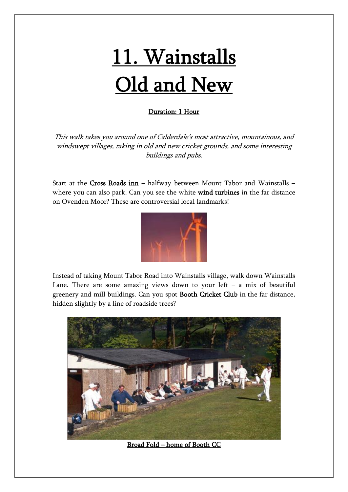## 11. Wainstalls Old and New

## Duration: 1 Hour

This walk takes you around one of Calderdale's most attractive, mountainous, and windswept villages, taking in old and new cricket grounds, and some interesting buildings and pubs.

Start at the Cross Roads inn – halfway between Mount Tabor and Wainstalls – where you can also park. Can you see the white wind turbines in the far distance on Ovenden Moor? These are controversial local landmarks!



Instead of taking Mount Tabor Road into Wainstalls village, walk down Wainstalls Lane. There are some amazing views down to your  $left - a$  mix of beautiful greenery and mill buildings. Can you spot Booth Cricket Club in the far distance, hidden slightly by a line of roadside trees?



Broad Fold – home of Booth CC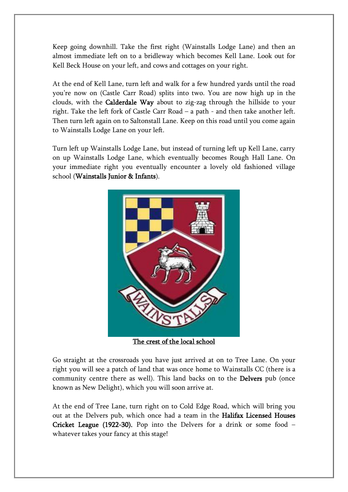Keep going downhill. Take the first right (Wainstalls Lodge Lane) and then an almost immediate left on to a bridleway which becomes Kell Lane. Look out for Kell Beck House on your left, and cows and cottages on your right.

At the end of Kell Lane, turn left and walk for a few hundred yards until the road you're now on (Castle Carr Road) splits into two. You are now high up in the clouds, with the Calderdale Way about to zig-zag through the hillside to your right. Take the left fork of Castle Carr Road  $-$  a path  $-$  and then take another left. Then turn left again on to Saltonstall Lane. Keep on this road until you come again to Wainstalls Lodge Lane on your left.

Turn left up Wainstalls Lodge Lane, but instead of turning left up Kell Lane, carry on up Wainstalls Lodge Lane, which eventually becomes Rough Hall Lane. On your immediate right you eventually encounter a lovely old fashioned village school (Wainstalls Junior & Infants).



The crest of the local school

Go straight at the crossroads you have just arrived at on to Tree Lane. On your right you will see a patch of land that was once home to Wainstalls CC (there is a community centre there as well). This land backs on to the **Delvers** pub (once known as New Delight), which you will soon arrive at.

At the end of Tree Lane, turn right on to Cold Edge Road, which will bring you out at the Delvers pub, which once had a team in the Halifax Licensed Houses Cricket League (1922-30). Pop into the Delvers for a drink or some food  $$ whatever takes your fancy at this stage!